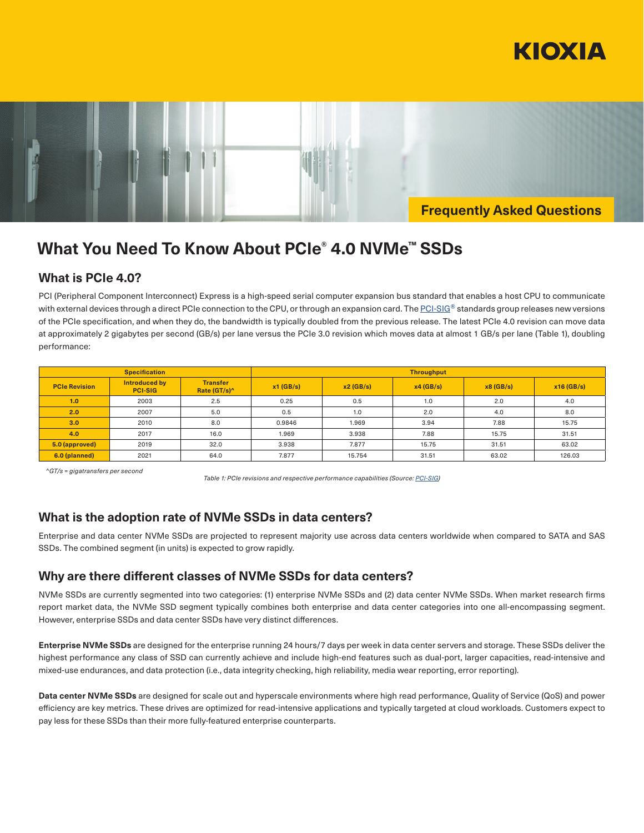



# **What You Need To Know About PCIe® 4.0 NVMe™ SSDs**

# **What is PCIe 4.0?**

PCI (Peripheral Component Interconnect) Express is a high-speed serial computer expansion bus standard that enables a host CPU to communicate with external devices through a direct PCIe connection to the CPU, or through an expansion card. The PCI-SIG® standards group releases new versions of the PCIe specification, and when they do, the bandwidth is typically doubled from the previous release. The latest PCIe 4.0 revision can move data at approximately 2 gigabytes per second (GB/s) per lane versus the PCIe 3.0 revision which moves data at almost 1 GB/s per lane (Table 1), doubling performance:

| <b>Specification</b> |                                 |                                    | <b>Throughput</b> |          |          |          |              |  |  |  |
|----------------------|---------------------------------|------------------------------------|-------------------|----------|----------|----------|--------------|--|--|--|
| <b>PCIe Revision</b> | Introduced by<br><b>PCI-SIG</b> | <b>Transfer</b><br>Rate $(GT/s)^n$ | $x1$ (GB/s)       | x2(GB/s) | x4(GB/s) | x8(GB/s) | $x16$ (GB/s) |  |  |  |
| 1.0                  | 2003                            | 2.5                                | 0.25              | 0.5      | 1.0      | 2.0      | 4.0          |  |  |  |
| 2.0                  | 2007                            | 5.0                                | 0.5               | 1.0      | 2.0      | 4.0      | 8.0          |  |  |  |
| 3.0                  | 2010                            | 8.0                                | 0.9846            | 1.969    | 3.94     | 7.88     | 15.75        |  |  |  |
| 4.0                  | 2017                            | 16.0                               | 1.969             | 3.938    | 7.88     | 15.75    | 31.51        |  |  |  |
| 5.0 (approved)       | 2019                            | 32.0                               | 3.938             | 7.877    | 15.75    | 31.51    | 63.02        |  |  |  |
| 6.0 (planned)        | 2021                            | 64.0                               | 7.877             | 15.754   | 31.51    | 63.02    | 126.03       |  |  |  |

*^GT/s = gigatransfers per second* 

*Table 1: PCIe revisions and respective performance capabilities (Source: PCI-SIG)*

# **What is the adoption rate of NVMe SSDs in data centers?**

Enterprise and data center NVMe SSDs are projected to represent majority use across data centers worldwide when compared to SATA and SAS SSDs. The combined segment (in units) is expected to grow rapidly.

# **Why are there different classes of NVMe SSDs for data centers?**

NVMe SSDs are currently segmented into two categories: (1) enterprise NVMe SSDs and (2) data center NVMe SSDs. When market research firms report market data, the NVMe SSD segment typically combines both enterprise and data center categories into one all-encompassing segment. However, enterprise SSDs and data center SSDs have very distinct differences.

**Enterprise NVMe SSDs** are designed for the enterprise running 24 hours/7 days per week in data center servers and storage. These SSDs deliver the highest performance any class of SSD can currently achieve and include high-end features such as dual-port, larger capacities, read-intensive and mixed-use endurances, and data protection (i.e., data integrity checking, high reliability, media wear reporting, error reporting).

**Data center NVMe SSDs** are designed for scale out and hyperscale environments where high read performance, Quality of Service (QoS) and power efficiency are key metrics. These drives are optimized for read-intensive applications and typically targeted at cloud workloads. Customers expect to pay less for these SSDs than their more fully-featured enterprise counterparts.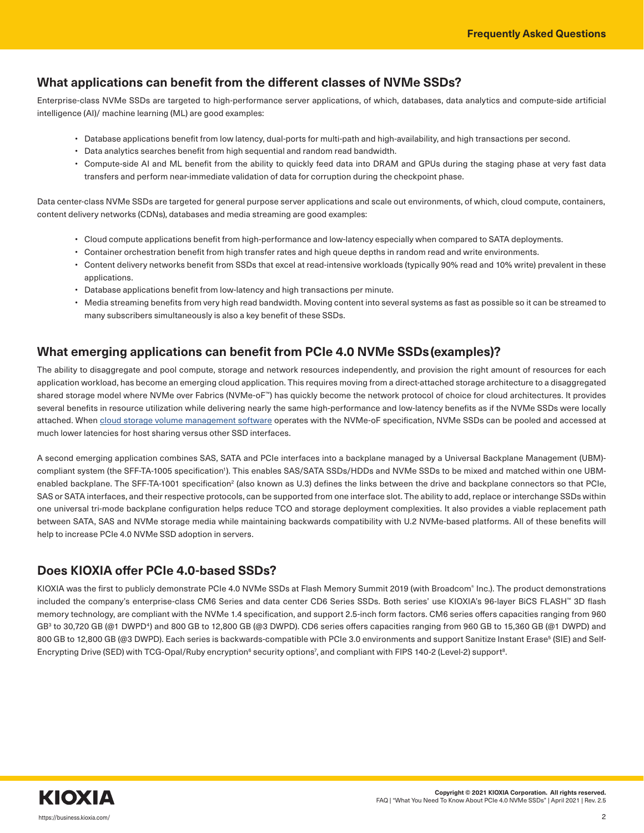# **What applications can benefit from the different classes of NVMe SSDs?**

Enterprise-class NVMe SSDs are targeted to high-performance server applications, of which, databases, data analytics and compute-side artificial intelligence (AI)/ machine learning (ML) are good examples:

- Database applications benefit from low latency, dual-ports for multi-path and high-availability, and high transactions per second.
- Data analytics searches benefit from high sequential and random read bandwidth.
- Compute-side AI and ML benefit from the ability to quickly feed data into DRAM and GPUs during the staging phase at very fast data transfers and perform near-immediate validation of data for corruption during the checkpoint phase.

Data center-class NVMe SSDs are targeted for general purpose server applications and scale out environments, of which, cloud compute, containers, content delivery networks (CDNs), databases and media streaming are good examples:

- Cloud compute applications benefit from high-performance and low-latency especially when compared to SATA deployments.
- Container orchestration benefit from high transfer rates and high queue depths in random read and write environments.
- Content delivery networks benefit from SSDs that excel at read-intensive workloads (typically 90% read and 10% write) prevalent in these applications.
- Database applications benefit from low-latency and high transactions per minute.
- Media streaming benefits from very high read bandwidth. Moving content into several systems as fast as possible so it can be streamed to many subscribers simultaneously is also a key benefit of these SSDs.

# **What emerging applications can benefit from PCIe 4.0 NVMe SSDs(examples)?**

The ability to disaggregate and pool compute, storage and network resources independently, and provision the right amount of resources for each application workload, has become an emerging cloud application. This requires moving from a direct-attached storage architecture to a disaggregated shared storage model where NVMe over Fabrics (NVMe-oF™) has quickly become the network protocol of choice for cloud architectures. It provides several benefits in resource utilization while delivering nearly the same high-performance and low-latency benefits as if the NVMe SSDs were locally attached. When cloud storage volume management software operates with the NVMe-oF specification, NVMe SSDs can be pooled and accessed at much lower latencies for host sharing versus other SSD interfaces.

A second emerging application combines SAS, SATA and PCIe interfaces into a backplane managed by a Universal Backplane Management (UBM) compliant system (the SFF-TA-1005 specification<sup>1</sup>). This enables SAS/SATA SSDs/HDDs and NVMe SSDs to be mixed and matched within one UBMenabled backplane. The SFF-TA-1001 specification<sup>2</sup> (also known as U.3) defines the links between the drive and backplane connectors so that PCIe, SAS or SATA interfaces, and their respective protocols, can be supported from one interface slot. The ability to add, replace or interchange SSDs within one universal tri-mode backplane configuration helps reduce TCO and storage deployment complexities. It also provides a viable replacement path between SATA, SAS and NVMe storage media while maintaining backwards compatibility with U.2 NVMe-based platforms. All of these benefits will help to increase PCIe 4.0 NVMe SSD adoption in servers.

# **Does KIOXIA offer PCIe 4.0-based SSDs?**

KIOXIA was the first to publicly demonstrate PCIe 4.0 NVMe SSDs at Flash Memory Summit 2019 (with Broadcom® Inc.). The product demonstrations included the company's enterprise-class CM6 Series and data center CD6 Series SSDs. Both series' use KIOXIA's 96-layer BiCS FLASH™ 3D flash memory technology, are compliant with the NVMe 1.4 specification, and support 2.5-inch form factors. CM6 series offers capacities ranging from 960 GB<sup>3</sup> to 30,720 GB (@1 DWPD<sup>4</sup>) and 800 GB to 12,800 GB (@3 DWPD). CD6 series offers capacities ranging from 960 GB to 15,360 GB (@1 DWPD) and 800 GB to 12,800 GB (@3 DWPD). Each series is backwards-compatible with PCIe 3.0 environments and support Sanitize Instant Erase<sup>5</sup> (SIE) and Self-Encrypting Drive (SED) with TCG-Opal/Ruby encryption<sup>6</sup> security options<sup>7</sup>, and compliant with FIPS 140-2 (Level-2) support<sup>8</sup>.

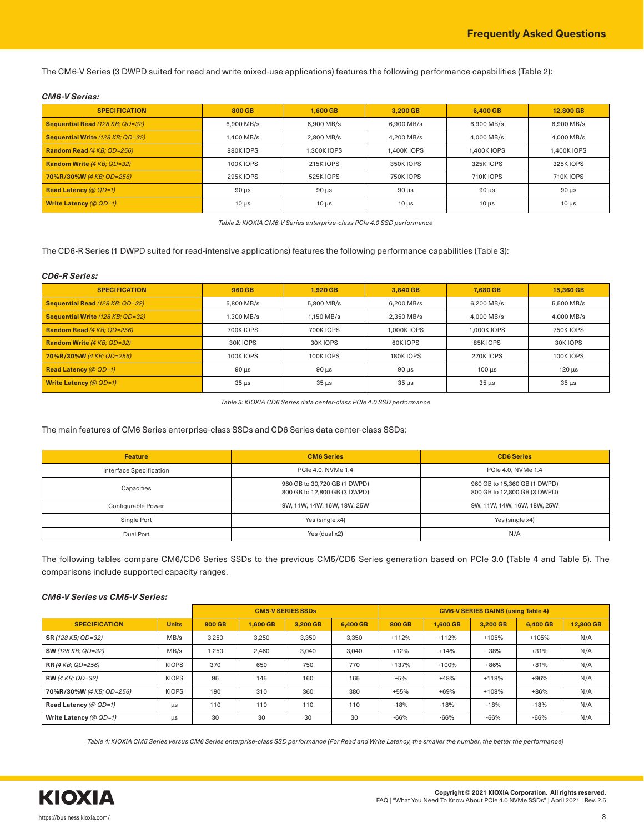The CM6-V Series (3 DWPD suited for read and write mixed-use applications) features the following performance capabilities (Table 2):

### *CM6-V Series:*

| <b>SPECIFICATION</b>              | 800 GB           | 1.600 GB         | 3,200 GB         | 6,400 GB    | 12,800 GB   |  |
|-----------------------------------|------------------|------------------|------------------|-------------|-------------|--|
| Sequential Read (128 KB; QD=32)   | 6.900 MB/s       | 6.900 MB/s       | 6.900 MB/s       | 6.900 MB/s  | 6.900 MB/s  |  |
| Sequential Write (128 KB; QD=32)  | .400 MB/s        | 2.800 MB/s       | 4.200 MB/s       |             | 4.000 MB/s  |  |
| Random Read (4 KB; QD=256)        | 880K IOPS        | 1.300K IOPS      | 1.400K IOPS      | 1.400K IOPS | 1.400K IOPS |  |
| <b>Random Write (4 KB; QD=32)</b> | <b>100K IOPS</b> | <b>215K IOPS</b> | <b>350K IOPS</b> | 325K IOPS   | 325K IOPS   |  |
| 70%R/30%W (4 KB; QD=256)          | <b>295K IOPS</b> | 525K IOPS        | <b>750K IOPS</b> | 710K IOPS   | 710K IOPS   |  |
| <b>Read Latency (@ QD=1)</b>      | $90 \mu s$       | $90 \mu s$       | $90 \mu s$       | $90 \mu s$  | $90 \mu s$  |  |
| Write Latency (@ $QD=1$ )         | $10 \mu s$       | $10 \mu s$       | $10 \mu s$       | $10 \mu s$  | $10 \mu s$  |  |

*Table 2: KIOXIA CM6-V Series enterprise-class PCIe 4.0 SSD performance*

The CD6-R Series (1 DWPD suited for read-intensive applications) features the following performance capabilities (Table 3):

### *CD6-R Series:*

| <b>SPECIFICATION</b>              | 960 GB           | 1.920 GB         | 3.840 GB         | 7.680 GB         | 15,360 GB        |  |
|-----------------------------------|------------------|------------------|------------------|------------------|------------------|--|
| Sequential Read (128 KB; QD=32)   | 5.800 MB/s       | 5.800 MB/s       | 6.200 MB/s       | 6.200 MB/s       | 5.500 MB/s       |  |
| Sequential Write (128 KB; QD=32)  | $.300$ MB/s      | 1.150 MB/s       | 2.350 MB/s       | 4.000 MB/s       | 4.000 MB/s       |  |
| Random Read (4 KB; QD=256)        | <b>700KIOPS</b>  | 700K IOPS        | 1.000K IOPS      | 1.000K IOPS      | <b>750K IOPS</b> |  |
| <b>Random Write (4 KB; QD=32)</b> | <b>30K IOPS</b>  | 30K IOPS         | 60K IOPS         | 85K IOPS         | <b>30K IOPS</b>  |  |
| 70%R/30%W (4 KB; QD=256)          | <b>100K IOPS</b> | <b>100K IOPS</b> | <b>180K IOPS</b> | <b>270K IOPS</b> | <b>100K IOPS</b> |  |
| <b>Read Latency (@ QD=1)</b>      | $90 \mu s$       | $90 \mu s$       | $90 \mu s$       | $100$ us         | $120 \mu s$      |  |
| Write Latency (@ $QD=1$ )         | $35 \mu s$       | $35 \mu s$       | $35 \mu s$       | $35 \mu s$       | $35 \mu s$       |  |

*Table 3: KIOXIA CD6 Series data center-class PCIe 4.0 SSD performance*

The main features of CM6 Series enterprise-class SSDs and CD6 Series data center-class SSDs:

| <b>Feature</b>          | <b>CM6 Series</b>                                            | <b>CD6 Series</b>                                            |  |  |  |
|-------------------------|--------------------------------------------------------------|--------------------------------------------------------------|--|--|--|
| Interface Specification | PCIe 4.0, NVMe 1.4                                           | PCIe 4.0, NVMe 1.4                                           |  |  |  |
| Capacities              | 960 GB to 30,720 GB (1 DWPD)<br>800 GB to 12,800 GB (3 DWPD) | 960 GB to 15,360 GB (1 DWPD)<br>800 GB to 12,800 GB (3 DWPD) |  |  |  |
| Configurable Power      | 9W, 11W, 14W, 16W, 18W, 25W                                  | 9W, 11W, 14W, 16W, 18W, 25W                                  |  |  |  |
| Single Port             | Yes (single x4)                                              | Yes (single x4)                                              |  |  |  |
| Dual Port               | Yes (dual x2)                                                | N/A                                                          |  |  |  |

The following tables compare CM6/CD6 Series SSDs to the previous CM5/CD5 Series generation based on PCIe 3.0 (Table 4 and Table 5). The comparisons include supported capacity ranges.

### *CM6-V Series vs CM5-V Series:*

|                                          |              | <b>CM5-V SERIES SSDs</b> |          |          |          | <b>CM6-V SERIES GAINS (using Table 4)</b> |          |          |          |           |
|------------------------------------------|--------------|--------------------------|----------|----------|----------|-------------------------------------------|----------|----------|----------|-----------|
| <b>SPECIFICATION</b>                     | <b>Units</b> | 800 GB                   | 1.600 GB | 3.200 GB | 6,400 GB | 800 GB                                    | 1.600 GB | 3.200 GB | 6,400 GB | 12,800 GB |
| <b>SR</b> (128 KB: QD=32)                | MB/s         | 3,250                    | 3,250    | 3,350    | 3,350    | $+112%$                                   | $+112%$  | $+105%$  | $+105%$  | N/A       |
| <b>SW</b> (128 KB; QD=32)                | MB/s         | 1,250                    | 2,460    | 3,040    | 3,040    | $+12%$                                    | $+14%$   | $+38%$   | $+31%$   | N/A       |
| <b>RR</b> (4 KB; QD=256)                 | <b>KIOPS</b> | 370                      | 650      | 750      | 770      | $+137%$                                   | $+100%$  | $+86%$   | $+81%$   | N/A       |
| <b>RW</b> (4 KB; QD=32)                  | <b>KIOPS</b> | 95                       | 145      | 160      | 165      | $+5%$                                     | $+48%$   | $+118%$  | $+96%$   | N/A       |
| <b>KIOPS</b><br>70%R/30%W (4 KB: QD=256) |              | 190                      | 310      | 360      | 380      | $+55%$                                    | $+69%$   | $+108%$  | $+86%$   | N/A       |
| Read Latency (@ QD=1)<br>$\mu s$         |              | 110                      | 110      | 110      | 110      | $-18%$                                    | $-18%$   | $-18%$   | $-18%$   | N/A       |
| Write Latency (@ $QD=1$ )                | μs           | 30                       | 30       | 30       | 30       | $-66%$                                    | $-66%$   | $-66%$   | $-66%$   | N/A       |

*Table 4: KIOXIA CM5 Series versus CM6 Series enterprise-class SSD performance (For Read and Write Latency, the smaller the number, the better the performance)*